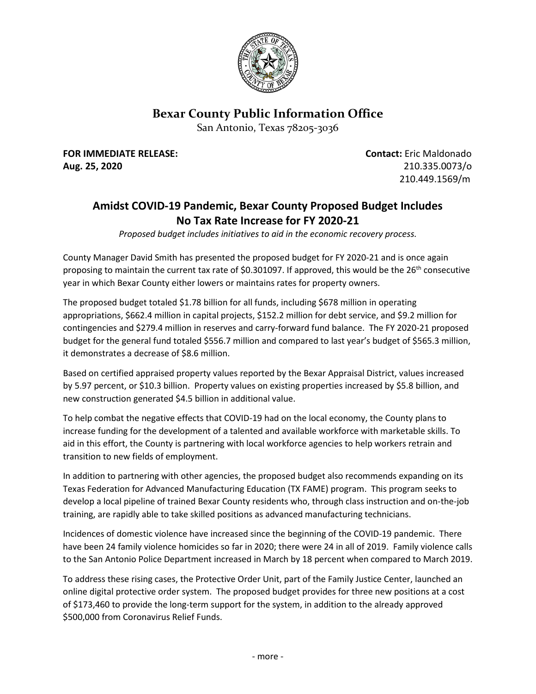

## **Bexar County Public Information Office**

San Antonio, Texas 78205-3036

**FOR IMMEDIATE RELEASE: Contact:** Eric Maldonado **Aug. 25, 2020** 210.335.0073/o

210.449.1569/m

## **Amidst COVID-19 Pandemic, Bexar County Proposed Budget Includes No Tax Rate Increase for FY 2020-21**

*Proposed budget includes initiatives to aid in the economic recovery process.*

County Manager David Smith has presented the proposed budget for FY 2020-21 and is once again proposing to maintain the current tax rate of \$0.301097. If approved, this would be the  $26<sup>th</sup>$  consecutive year in which Bexar County either lowers or maintains rates for property owners.

The proposed budget totaled \$1.78 billion for all funds, including \$678 million in operating appropriations, \$662.4 million in capital projects, \$152.2 million for debt service, and \$9.2 million for contingencies and \$279.4 million in reserves and carry-forward fund balance. The FY 2020-21 proposed budget for the general fund totaled \$556.7 million and compared to last year's budget of \$565.3 million, it demonstrates a decrease of \$8.6 million.

Based on certified appraised property values reported by the Bexar Appraisal District, values increased by 5.97 percent, or \$10.3 billion. Property values on existing properties increased by \$5.8 billion, and new construction generated \$4.5 billion in additional value.

To help combat the negative effects that COVID-19 had on the local economy, the County plans to increase funding for the development of a talented and available workforce with marketable skills. To aid in this effort, the County is partnering with local workforce agencies to help workers retrain and transition to new fields of employment.

In addition to partnering with other agencies, the proposed budget also recommends expanding on its Texas Federation for Advanced Manufacturing Education (TX FAME) program. This program seeks to develop a local pipeline of trained Bexar County residents who, through class instruction and on-the-job training, are rapidly able to take skilled positions as advanced manufacturing technicians.

Incidences of domestic violence have increased since the beginning of the COVID-19 pandemic. There have been 24 family violence homicides so far in 2020; there were 24 in all of 2019. Family violence calls to the San Antonio Police Department increased in March by 18 percent when compared to March 2019.

To address these rising cases, the Protective Order Unit, part of the Family Justice Center, launched an online digital protective order system. The proposed budget provides for three new positions at a cost of \$173,460 to provide the long-term support for the system, in addition to the already approved \$500,000 from Coronavirus Relief Funds.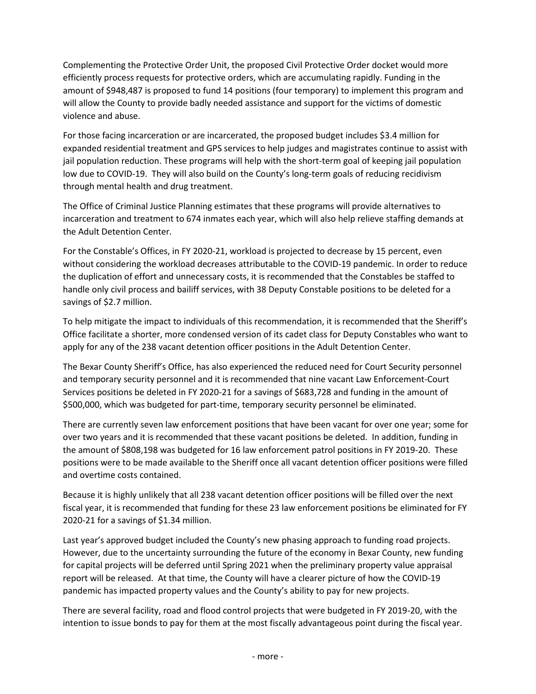Complementing the Protective Order Unit, the proposed Civil Protective Order docket would more efficiently process requests for protective orders, which are accumulating rapidly. Funding in the amount of \$948,487 is proposed to fund 14 positions (four temporary) to implement this program and will allow the County to provide badly needed assistance and support for the victims of domestic violence and abuse.

For those facing incarceration or are incarcerated, the proposed budget includes \$3.4 million for expanded residential treatment and GPS services to help judges and magistrates continue to assist with jail population reduction. These programs will help with the short-term goal of keeping jail population low due to COVID-19. They will also build on the County's long-term goals of reducing recidivism through mental health and drug treatment.

The Office of Criminal Justice Planning estimates that these programs will provide alternatives to incarceration and treatment to 674 inmates each year, which will also help relieve staffing demands at the Adult Detention Center.

For the Constable's Offices, in FY 2020-21, workload is projected to decrease by 15 percent, even without considering the workload decreases attributable to the COVID-19 pandemic. In order to reduce the duplication of effort and unnecessary costs, it is recommended that the Constables be staffed to handle only civil process and bailiff services, with 38 Deputy Constable positions to be deleted for a savings of \$2.7 million.

To help mitigate the impact to individuals of this recommendation, it is recommended that the Sheriff's Office facilitate a shorter, more condensed version of its cadet class for Deputy Constables who want to apply for any of the 238 vacant detention officer positions in the Adult Detention Center.

The Bexar County Sheriff's Office, has also experienced the reduced need for Court Security personnel and temporary security personnel and it is recommended that nine vacant Law Enforcement-Court Services positions be deleted in FY 2020-21 for a savings of \$683,728 and funding in the amount of \$500,000, which was budgeted for part-time, temporary security personnel be eliminated.

There are currently seven law enforcement positions that have been vacant for over one year; some for over two years and it is recommended that these vacant positions be deleted. In addition, funding in the amount of \$808,198 was budgeted for 16 law enforcement patrol positions in FY 2019-20. These positions were to be made available to the Sheriff once all vacant detention officer positions were filled and overtime costs contained.

Because it is highly unlikely that all 238 vacant detention officer positions will be filled over the next fiscal year, it is recommended that funding for these 23 law enforcement positions be eliminated for FY 2020-21 for a savings of \$1.34 million.

Last year's approved budget included the County's new phasing approach to funding road projects. However, due to the uncertainty surrounding the future of the economy in Bexar County, new funding for capital projects will be deferred until Spring 2021 when the preliminary property value appraisal report will be released. At that time, the County will have a clearer picture of how the COVID-19 pandemic has impacted property values and the County's ability to pay for new projects.

There are several facility, road and flood control projects that were budgeted in FY 2019-20, with the intention to issue bonds to pay for them at the most fiscally advantageous point during the fiscal year.